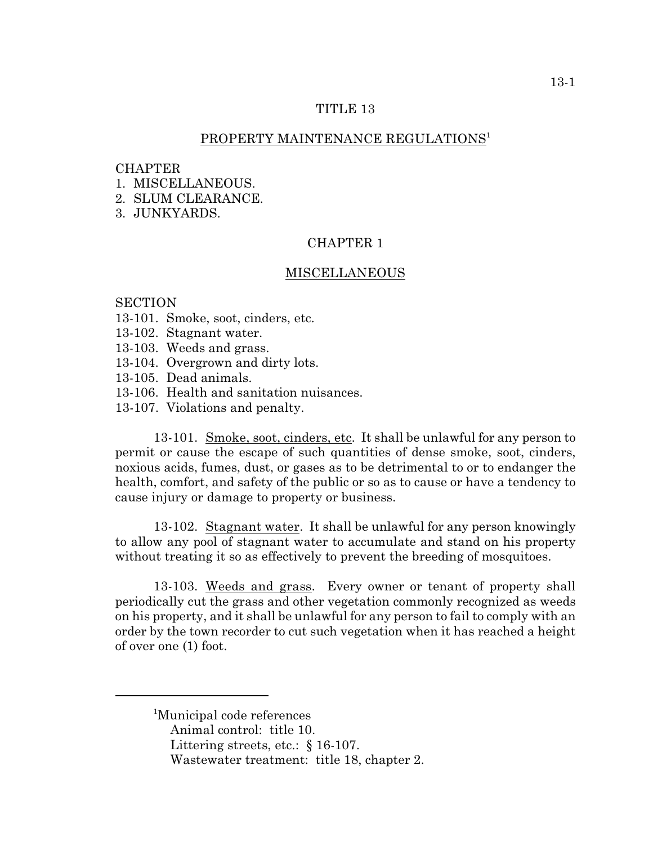#### TITLE 13

### PROPERTY MAINTENANCE REGULATIONS<sup>1</sup>

#### **CHAPTER**

- 1. MISCELLANEOUS.
- 2. SLUM CLEARANCE.
- 3. JUNKYARDS.

# CHAPTER 1

#### MISCELLANEOUS

#### **SECTION**

- 13-101. Smoke, soot, cinders, etc.
- 13-102. Stagnant water.
- 13-103. Weeds and grass.
- 13-104. Overgrown and dirty lots.
- 13-105. Dead animals.
- 13-106. Health and sanitation nuisances.
- 13-107. Violations and penalty.

13-101. Smoke, soot, cinders, etc. It shall be unlawful for any person to permit or cause the escape of such quantities of dense smoke, soot, cinders, noxious acids, fumes, dust, or gases as to be detrimental to or to endanger the health, comfort, and safety of the public or so as to cause or have a tendency to cause injury or damage to property or business.

13-102. Stagnant water. It shall be unlawful for any person knowingly to allow any pool of stagnant water to accumulate and stand on his property without treating it so as effectively to prevent the breeding of mosquitoes.

13-103. Weeds and grass. Every owner or tenant of property shall periodically cut the grass and other vegetation commonly recognized as weeds on his property, and it shall be unlawful for any person to fail to comply with an order by the town recorder to cut such vegetation when it has reached a height of over one (1) foot.

Littering streets, etc.: § 16-107.

<sup>&</sup>lt;sup>1</sup>Municipal code references

Animal control: title 10.

Wastewater treatment: title 18, chapter 2.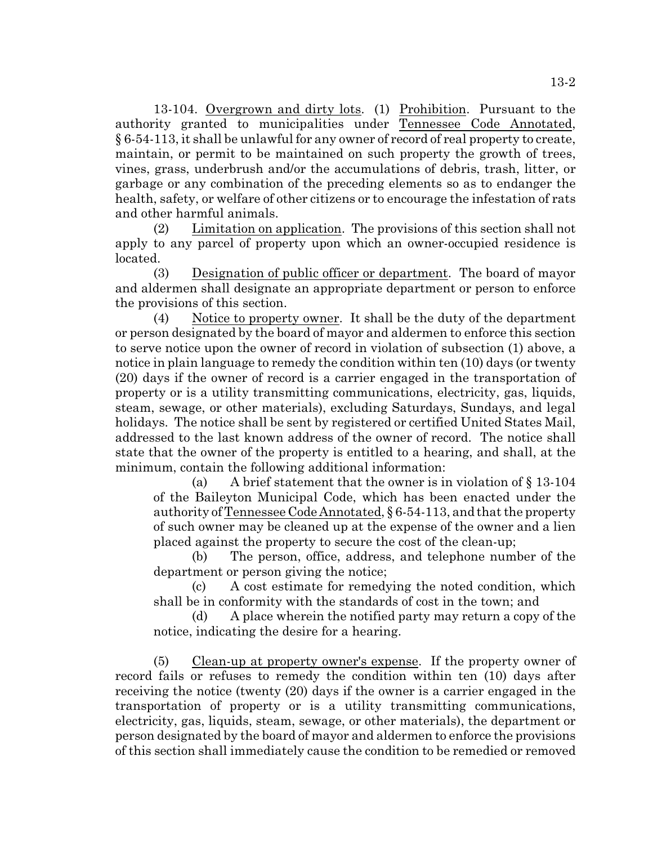13-104. Overgrown and dirty lots. (1) Prohibition. Pursuant to the authority granted to municipalities under Tennessee Code Annotated, § 6-54-113, it shall be unlawful for any owner of record of real property to create, maintain, or permit to be maintained on such property the growth of trees, vines, grass, underbrush and/or the accumulations of debris, trash, litter, or garbage or any combination of the preceding elements so as to endanger the health, safety, or welfare of other citizens or to encourage the infestation of rats and other harmful animals.

(2) Limitation on application. The provisions of this section shall not apply to any parcel of property upon which an owner-occupied residence is located.

(3) Designation of public officer or department. The board of mayor and aldermen shall designate an appropriate department or person to enforce the provisions of this section.

(4) Notice to property owner. It shall be the duty of the department or person designated by the board of mayor and aldermen to enforce this section to serve notice upon the owner of record in violation of subsection (1) above, a notice in plain language to remedy the condition within ten (10) days (or twenty (20) days if the owner of record is a carrier engaged in the transportation of property or is a utility transmitting communications, electricity, gas, liquids, steam, sewage, or other materials), excluding Saturdays, Sundays, and legal holidays. The notice shall be sent by registered or certified United States Mail, addressed to the last known address of the owner of record. The notice shall state that the owner of the property is entitled to a hearing, and shall, at the minimum, contain the following additional information:

(a) A brief statement that the owner is in violation of § 13-104 of the Baileyton Municipal Code, which has been enacted under the authority of Tennessee Code Annotated, § 6-54-113, and that the property of such owner may be cleaned up at the expense of the owner and a lien placed against the property to secure the cost of the clean-up;

(b) The person, office, address, and telephone number of the department or person giving the notice;

(c) A cost estimate for remedying the noted condition, which shall be in conformity with the standards of cost in the town; and

(d) A place wherein the notified party may return a copy of the notice, indicating the desire for a hearing.

(5) Clean-up at property owner's expense. If the property owner of record fails or refuses to remedy the condition within ten (10) days after receiving the notice (twenty (20) days if the owner is a carrier engaged in the transportation of property or is a utility transmitting communications, electricity, gas, liquids, steam, sewage, or other materials), the department or person designated by the board of mayor and aldermen to enforce the provisions of this section shall immediately cause the condition to be remedied or removed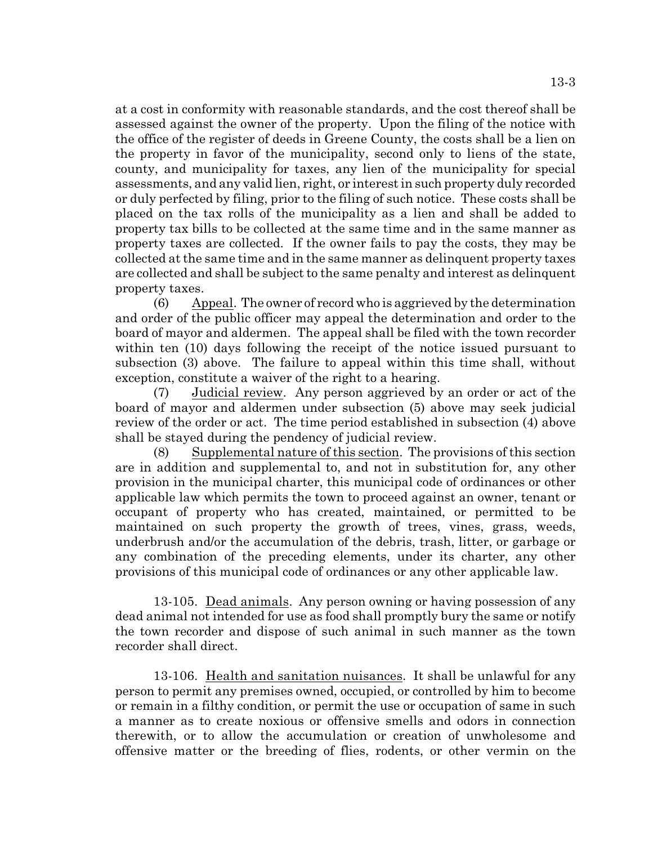at a cost in conformity with reasonable standards, and the cost thereof shall be assessed against the owner of the property. Upon the filing of the notice with the office of the register of deeds in Greene County, the costs shall be a lien on the property in favor of the municipality, second only to liens of the state, county, and municipality for taxes, any lien of the municipality for special assessments, and any valid lien, right, or interest in such property duly recorded or duly perfected by filing, prior to the filing of such notice. These costs shall be placed on the tax rolls of the municipality as a lien and shall be added to property tax bills to be collected at the same time and in the same manner as property taxes are collected. If the owner fails to pay the costs, they may be collected at the same time and in the same manner as delinquent property taxes are collected and shall be subject to the same penalty and interest as delinquent property taxes.

(6) Appeal. The owner of record who is aggrieved by the determination and order of the public officer may appeal the determination and order to the board of mayor and aldermen. The appeal shall be filed with the town recorder within ten (10) days following the receipt of the notice issued pursuant to subsection (3) above. The failure to appeal within this time shall, without exception, constitute a waiver of the right to a hearing.

(7) Judicial review. Any person aggrieved by an order or act of the board of mayor and aldermen under subsection (5) above may seek judicial review of the order or act. The time period established in subsection (4) above shall be stayed during the pendency of judicial review.

(8) Supplemental nature of this section. The provisions of this section are in addition and supplemental to, and not in substitution for, any other provision in the municipal charter, this municipal code of ordinances or other applicable law which permits the town to proceed against an owner, tenant or occupant of property who has created, maintained, or permitted to be maintained on such property the growth of trees, vines, grass, weeds, underbrush and/or the accumulation of the debris, trash, litter, or garbage or any combination of the preceding elements, under its charter, any other provisions of this municipal code of ordinances or any other applicable law.

13-105. Dead animals. Any person owning or having possession of any dead animal not intended for use as food shall promptly bury the same or notify the town recorder and dispose of such animal in such manner as the town recorder shall direct.

13-106. Health and sanitation nuisances. It shall be unlawful for any person to permit any premises owned, occupied, or controlled by him to become or remain in a filthy condition, or permit the use or occupation of same in such a manner as to create noxious or offensive smells and odors in connection therewith, or to allow the accumulation or creation of unwholesome and offensive matter or the breeding of flies, rodents, or other vermin on the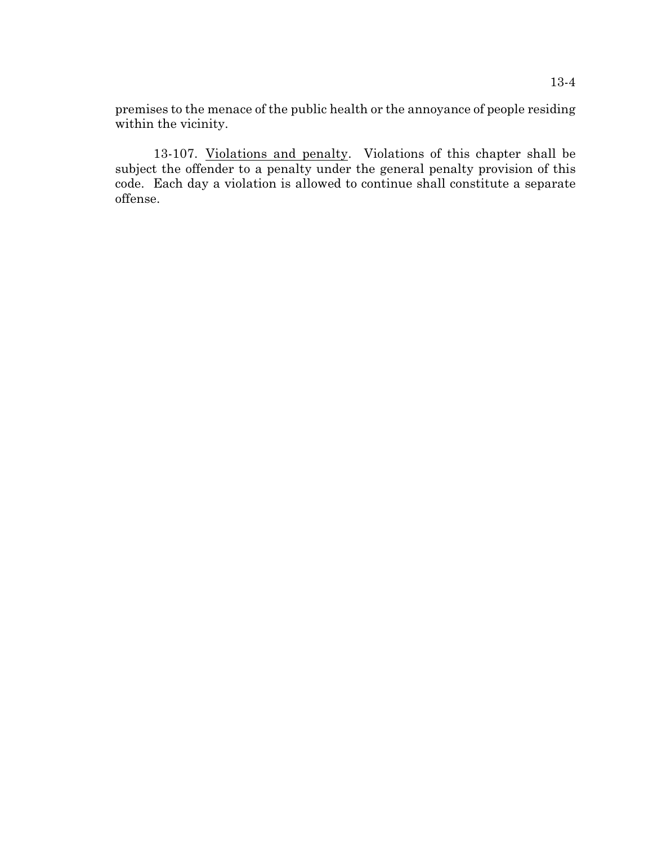premises to the menace of the public health or the annoyance of people residing within the vicinity.

13-107. Violations and penalty. Violations of this chapter shall be subject the offender to a penalty under the general penalty provision of this code. Each day a violation is allowed to continue shall constitute a separate offense.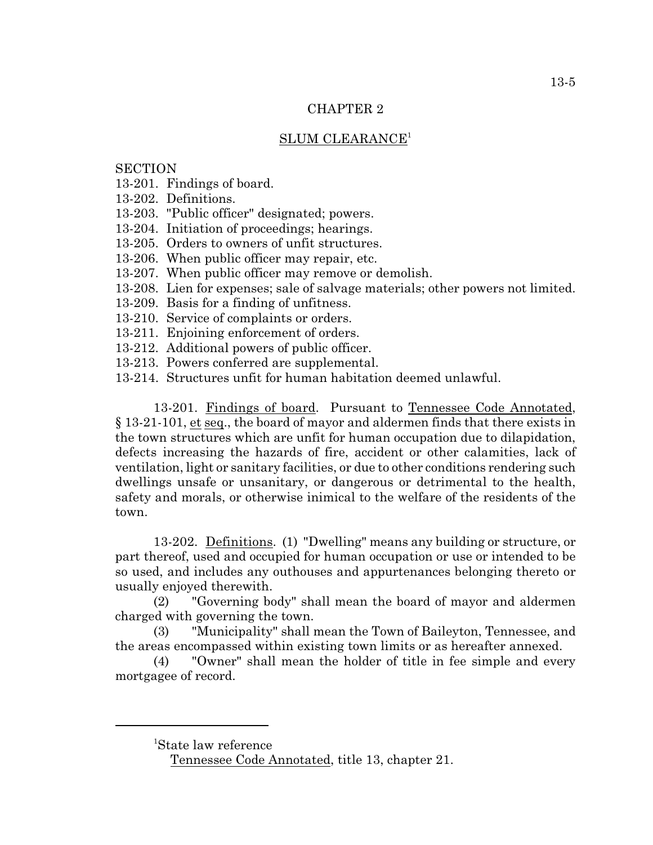### CHAPTER 2

# SLUM CLEARANCE<sup>1</sup>

## **SECTION**

- 13-201. Findings of board.
- 13-202. Definitions.
- 13-203. "Public officer" designated; powers.
- 13-204. Initiation of proceedings; hearings.
- 13-205. Orders to owners of unfit structures.
- 13-206. When public officer may repair, etc.
- 13-207. When public officer may remove or demolish.
- 13-208. Lien for expenses; sale of salvage materials; other powers not limited.
- 13-209. Basis for a finding of unfitness.
- 13-210. Service of complaints or orders.
- 13-211. Enjoining enforcement of orders.
- 13-212. Additional powers of public officer.
- 13-213. Powers conferred are supplemental.
- 13-214. Structures unfit for human habitation deemed unlawful.

13-201. Findings of board. Pursuant to Tennessee Code Annotated, § 13-21-101, et seq., the board of mayor and aldermen finds that there exists in the town structures which are unfit for human occupation due to dilapidation, defects increasing the hazards of fire, accident or other calamities, lack of ventilation, light or sanitary facilities, or due to other conditions rendering such dwellings unsafe or unsanitary, or dangerous or detrimental to the health, safety and morals, or otherwise inimical to the welfare of the residents of the town.

13-202. Definitions. (1) "Dwelling" means any building or structure, or part thereof, used and occupied for human occupation or use or intended to be so used, and includes any outhouses and appurtenances belonging thereto or usually enjoyed therewith.

(2) "Governing body" shall mean the board of mayor and aldermen charged with governing the town.

(3) "Municipality" shall mean the Town of Baileyton, Tennessee, and the areas encompassed within existing town limits or as hereafter annexed.

(4) "Owner" shall mean the holder of title in fee simple and every mortgagee of record.

<sup>1</sup>State law reference

Tennessee Code Annotated, title 13, chapter 21.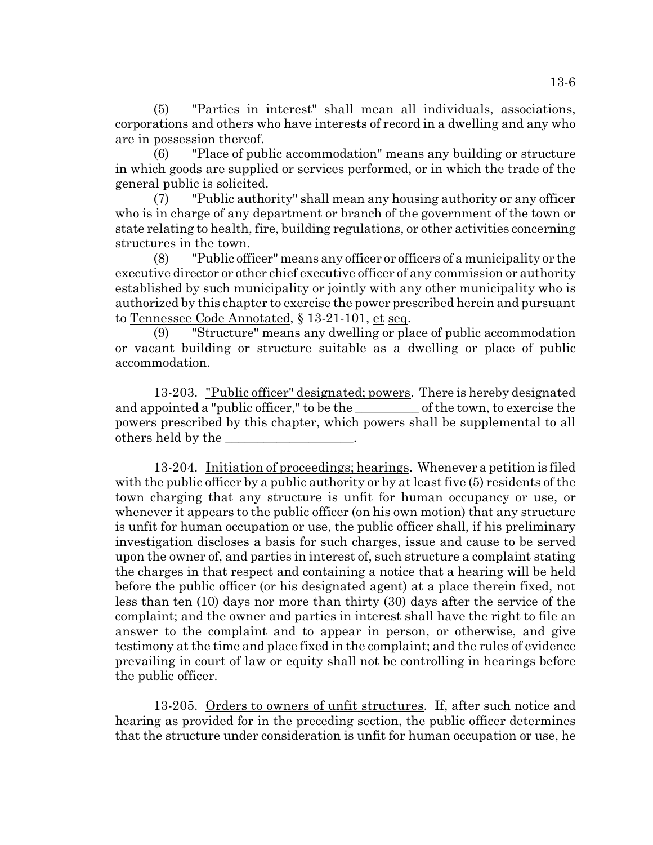(5) "Parties in interest" shall mean all individuals, associations, corporations and others who have interests of record in a dwelling and any who are in possession thereof.

(6) "Place of public accommodation" means any building or structure in which goods are supplied or services performed, or in which the trade of the general public is solicited.

(7) "Public authority" shall mean any housing authority or any officer who is in charge of any department or branch of the government of the town or state relating to health, fire, building regulations, or other activities concerning structures in the town.

(8) "Public officer" means any officer or officers of a municipality or the executive director or other chief executive officer of any commission or authority established by such municipality or jointly with any other municipality who is authorized by this chapter to exercise the power prescribed herein and pursuant to Tennessee Code Annotated, § 13-21-101, et seq.

(9) "Structure" means any dwelling or place of public accommodation or vacant building or structure suitable as a dwelling or place of public accommodation.

13-203. "Public officer" designated; powers. There is hereby designated and appointed a "public officer," to be the second of the town, to exercise the powers prescribed by this chapter, which powers shall be supplemental to all others held by the

13-204. Initiation of proceedings; hearings. Whenever a petition is filed with the public officer by a public authority or by at least five (5) residents of the town charging that any structure is unfit for human occupancy or use, or whenever it appears to the public officer (on his own motion) that any structure is unfit for human occupation or use, the public officer shall, if his preliminary investigation discloses a basis for such charges, issue and cause to be served upon the owner of, and parties in interest of, such structure a complaint stating the charges in that respect and containing a notice that a hearing will be held before the public officer (or his designated agent) at a place therein fixed, not less than ten (10) days nor more than thirty (30) days after the service of the complaint; and the owner and parties in interest shall have the right to file an answer to the complaint and to appear in person, or otherwise, and give testimony at the time and place fixed in the complaint; and the rules of evidence prevailing in court of law or equity shall not be controlling in hearings before the public officer.

13-205. Orders to owners of unfit structures. If, after such notice and hearing as provided for in the preceding section, the public officer determines that the structure under consideration is unfit for human occupation or use, he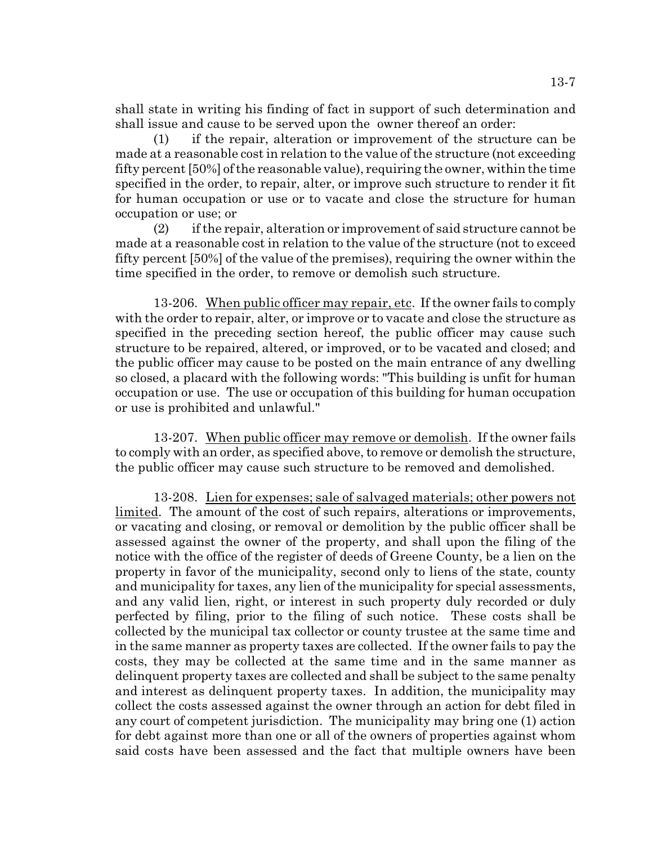shall state in writing his finding of fact in support of such determination and shall issue and cause to be served upon the owner thereof an order:

(1) if the repair, alteration or improvement of the structure can be made at a reasonable cost in relation to the value of the structure (not exceeding fifty percent [50%] of the reasonable value), requiring the owner, within the time specified in the order, to repair, alter, or improve such structure to render it fit for human occupation or use or to vacate and close the structure for human occupation or use; or

 $(2)$  if the repair, alteration or improvement of said structure cannot be made at a reasonable cost in relation to the value of the structure (not to exceed fifty percent [50%] of the value of the premises), requiring the owner within the time specified in the order, to remove or demolish such structure.

13-206. When public officer may repair, etc. If the owner fails to comply with the order to repair, alter, or improve or to vacate and close the structure as specified in the preceding section hereof, the public officer may cause such structure to be repaired, altered, or improved, or to be vacated and closed; and the public officer may cause to be posted on the main entrance of any dwelling so closed, a placard with the following words: "This building is unfit for human occupation or use. The use or occupation of this building for human occupation or use is prohibited and unlawful."

13-207. When public officer may remove or demolish. If the owner fails to comply with an order, as specified above, to remove or demolish the structure, the public officer may cause such structure to be removed and demolished.

13-208. Lien for expenses; sale of salvaged materials; other powers not limited. The amount of the cost of such repairs, alterations or improvements, or vacating and closing, or removal or demolition by the public officer shall be assessed against the owner of the property, and shall upon the filing of the notice with the office of the register of deeds of Greene County, be a lien on the property in favor of the municipality, second only to liens of the state, county and municipality for taxes, any lien of the municipality for special assessments, and any valid lien, right, or interest in such property duly recorded or duly perfected by filing, prior to the filing of such notice. These costs shall be collected by the municipal tax collector or county trustee at the same time and in the same manner as property taxes are collected. If the owner fails to pay the costs, they may be collected at the same time and in the same manner as delinquent property taxes are collected and shall be subject to the same penalty and interest as delinquent property taxes. In addition, the municipality may collect the costs assessed against the owner through an action for debt filed in any court of competent jurisdiction. The municipality may bring one (1) action for debt against more than one or all of the owners of properties against whom said costs have been assessed and the fact that multiple owners have been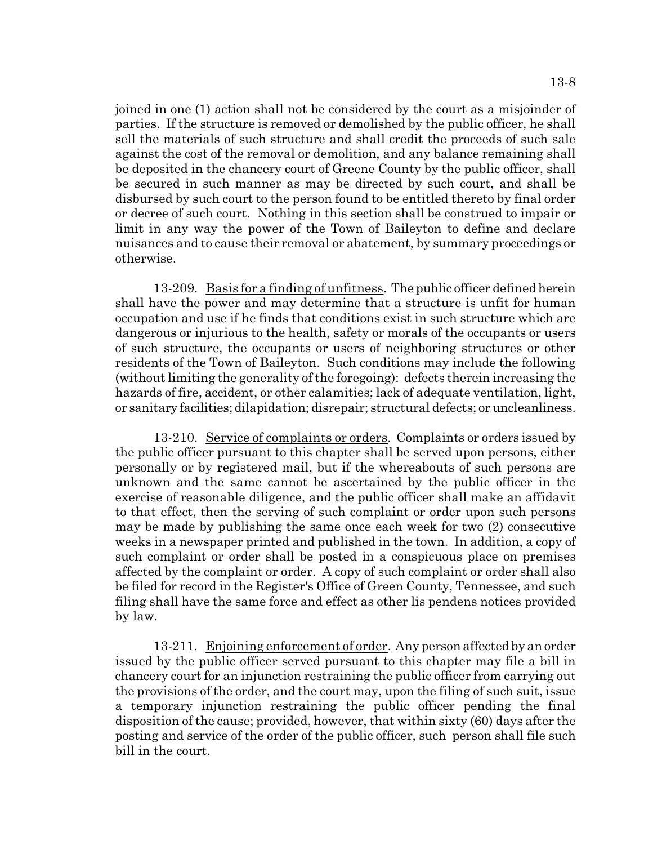13-8

joined in one (1) action shall not be considered by the court as a misjoinder of parties. If the structure is removed or demolished by the public officer, he shall sell the materials of such structure and shall credit the proceeds of such sale against the cost of the removal or demolition, and any balance remaining shall be deposited in the chancery court of Greene County by the public officer, shall be secured in such manner as may be directed by such court, and shall be disbursed by such court to the person found to be entitled thereto by final order or decree of such court. Nothing in this section shall be construed to impair or limit in any way the power of the Town of Baileyton to define and declare nuisances and to cause their removal or abatement, by summary proceedings or otherwise.

13-209. Basis for a finding of unfitness. The public officer defined herein shall have the power and may determine that a structure is unfit for human occupation and use if he finds that conditions exist in such structure which are dangerous or injurious to the health, safety or morals of the occupants or users of such structure, the occupants or users of neighboring structures or other residents of the Town of Baileyton. Such conditions may include the following (without limiting the generality of the foregoing): defects therein increasing the hazards of fire, accident, or other calamities; lack of adequate ventilation, light, or sanitary facilities; dilapidation; disrepair; structural defects; or uncleanliness.

13-210. Service of complaints or orders. Complaints or orders issued by the public officer pursuant to this chapter shall be served upon persons, either personally or by registered mail, but if the whereabouts of such persons are unknown and the same cannot be ascertained by the public officer in the exercise of reasonable diligence, and the public officer shall make an affidavit to that effect, then the serving of such complaint or order upon such persons may be made by publishing the same once each week for two (2) consecutive weeks in a newspaper printed and published in the town. In addition, a copy of such complaint or order shall be posted in a conspicuous place on premises affected by the complaint or order. A copy of such complaint or order shall also be filed for record in the Register's Office of Green County, Tennessee, and such filing shall have the same force and effect as other lis pendens notices provided by law.

13-211. Enjoining enforcement of order. Any person affected by an order issued by the public officer served pursuant to this chapter may file a bill in chancery court for an injunction restraining the public officer from carrying out the provisions of the order, and the court may, upon the filing of such suit, issue a temporary injunction restraining the public officer pending the final disposition of the cause; provided, however, that within sixty (60) days after the posting and service of the order of the public officer, such person shall file such bill in the court.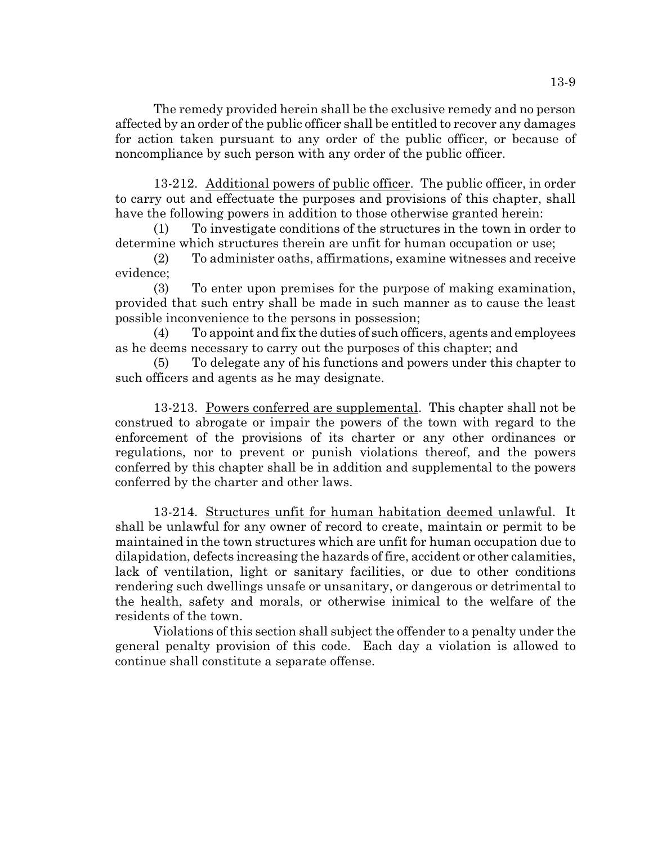The remedy provided herein shall be the exclusive remedy and no person affected by an order of the public officer shall be entitled to recover any damages for action taken pursuant to any order of the public officer, or because of noncompliance by such person with any order of the public officer.

13-212. Additional powers of public officer. The public officer, in order to carry out and effectuate the purposes and provisions of this chapter, shall have the following powers in addition to those otherwise granted herein:

(1) To investigate conditions of the structures in the town in order to determine which structures therein are unfit for human occupation or use;

(2) To administer oaths, affirmations, examine witnesses and receive evidence;

(3) To enter upon premises for the purpose of making examination, provided that such entry shall be made in such manner as to cause the least possible inconvenience to the persons in possession;

(4) To appoint and fix the duties of such officers, agents and employees as he deems necessary to carry out the purposes of this chapter; and

(5) To delegate any of his functions and powers under this chapter to such officers and agents as he may designate.

13-213. Powers conferred are supplemental. This chapter shall not be construed to abrogate or impair the powers of the town with regard to the enforcement of the provisions of its charter or any other ordinances or regulations, nor to prevent or punish violations thereof, and the powers conferred by this chapter shall be in addition and supplemental to the powers conferred by the charter and other laws.

13-214. Structures unfit for human habitation deemed unlawful. It shall be unlawful for any owner of record to create, maintain or permit to be maintained in the town structures which are unfit for human occupation due to dilapidation, defects increasing the hazards of fire, accident or other calamities, lack of ventilation, light or sanitary facilities, or due to other conditions rendering such dwellings unsafe or unsanitary, or dangerous or detrimental to the health, safety and morals, or otherwise inimical to the welfare of the residents of the town.

Violations of this section shall subject the offender to a penalty under the general penalty provision of this code. Each day a violation is allowed to continue shall constitute a separate offense.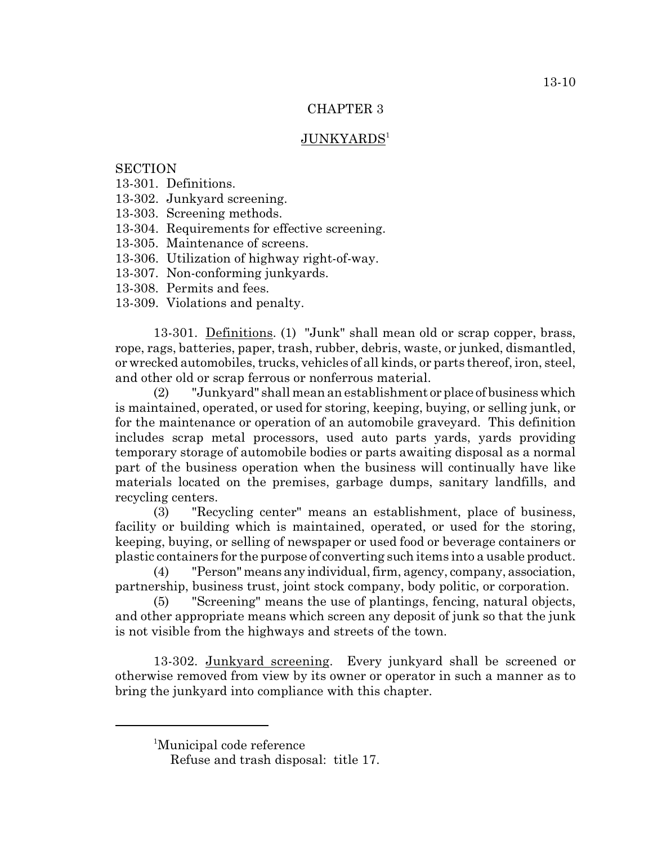### CHAPTER 3

## JUNKYARDS<sup>1</sup>

### **SECTION**

- 13-301. Definitions.
- 13-302. Junkyard screening.
- 13-303. Screening methods.
- 13-304. Requirements for effective screening.
- 13-305. Maintenance of screens.
- 13-306. Utilization of highway right-of-way.
- 13-307. Non-conforming junkyards.
- 13-308. Permits and fees.
- 13-309. Violations and penalty.

13-301. Definitions. (1) "Junk" shall mean old or scrap copper, brass, rope, rags, batteries, paper, trash, rubber, debris, waste, or junked, dismantled, or wrecked automobiles, trucks, vehicles of all kinds, or parts thereof, iron, steel, and other old or scrap ferrous or nonferrous material.

(2) "Junkyard" shall mean an establishment or place of business which is maintained, operated, or used for storing, keeping, buying, or selling junk, or for the maintenance or operation of an automobile graveyard. This definition includes scrap metal processors, used auto parts yards, yards providing temporary storage of automobile bodies or parts awaiting disposal as a normal part of the business operation when the business will continually have like materials located on the premises, garbage dumps, sanitary landfills, and recycling centers.

(3) "Recycling center" means an establishment, place of business, facility or building which is maintained, operated, or used for the storing, keeping, buying, or selling of newspaper or used food or beverage containers or plastic containers for the purpose of converting such items into a usable product.

(4) "Person" means any individual, firm, agency, company, association, partnership, business trust, joint stock company, body politic, or corporation.

(5) "Screening" means the use of plantings, fencing, natural objects, and other appropriate means which screen any deposit of junk so that the junk is not visible from the highways and streets of the town.

13-302. Junkyard screening. Every junkyard shall be screened or otherwise removed from view by its owner or operator in such a manner as to bring the junkyard into compliance with this chapter.

<sup>&</sup>lt;sup>1</sup>Municipal code reference

Refuse and trash disposal: title 17.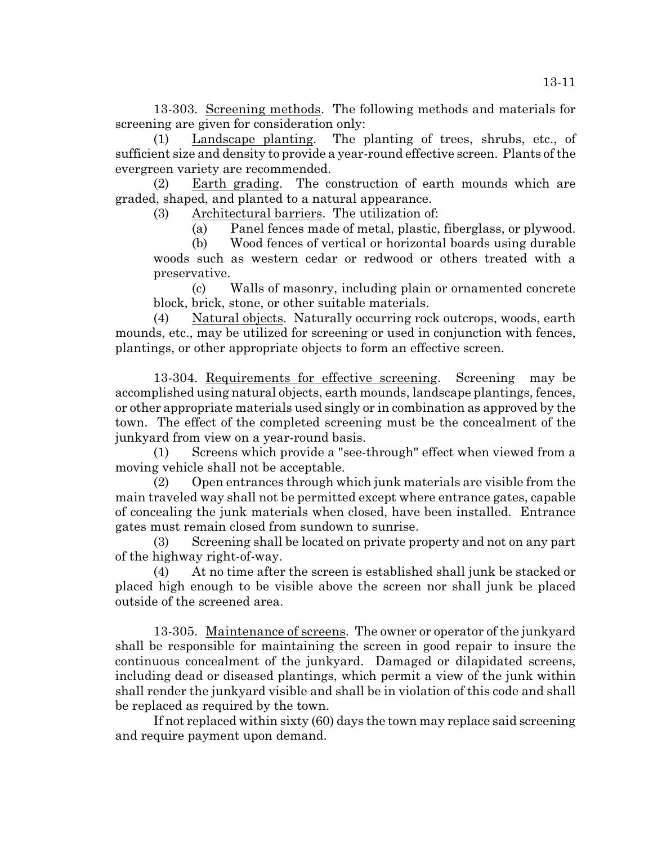13-303. Screening methods. The following methods and materials for screening are given for consideration only:

(1) Landscape planting. The planting of trees, shrubs, etc., of sufficient size and density to provide a year-round effective screen. Plants of the evergreen variety are recommended.

(2) Earth grading. The construction of earth mounds which are graded, shaped, and planted to a natural appearance.

(3) Architectural barriers. The utilization of:

(a) Panel fences made of metal, plastic, fiberglass, or plywood.

(b) Wood fences of vertical or horizontal boards using durable woods such as western cedar or redwood or others treated with a preservative.

(c) Walls of masonry, including plain or ornamented concrete block, brick, stone, or other suitable materials.

(4) Natural objects. Naturally occurring rock outcrops, woods, earth mounds, etc., may be utilized for screening or used in conjunction with fences, plantings, or other appropriate objects to form an effective screen.

13-304. Requirements for effective screening. Screening may be accomplished using natural objects, earth mounds, landscape plantings, fences, or other appropriate materials used singly or in combination as approved by the town. The effect of the completed screening must be the concealment of the junkyard from view on a year-round basis.

(1) Screens which provide a "see-through" effect when viewed from a moving vehicle shall not be acceptable.

(2) Open entrances through which junk materials are visible from the main traveled way shall not be permitted except where entrance gates, capable of concealing the junk materials when closed, have been installed. Entrance gates must remain closed from sundown to sunrise.

(3) Screening shall be located on private property and not on any part of the highway right-of-way.

(4) At no time after the screen is established shall junk be stacked or placed high enough to be visible above the screen nor shall junk be placed outside of the screened area.

13-305. Maintenance of screens. The owner or operator of the junkyard shall be responsible for maintaining the screen in good repair to insure the continuous concealment of the junkyard. Damaged or dilapidated screens, including dead or diseased plantings, which permit a view of the junk within shall render the junkyard visible and shall be in violation of this code and shall be replaced as required by the town.

If not replaced within sixty (60) days the town may replace said screening and require payment upon demand.